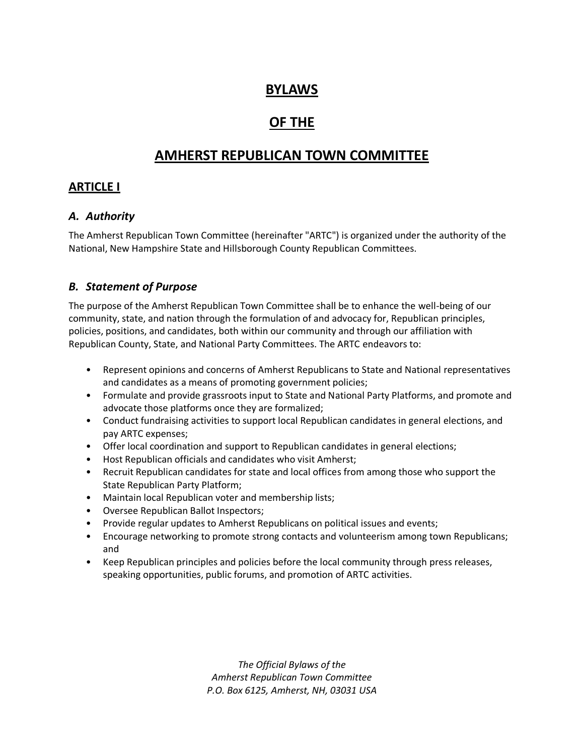# **BYLAWS**

# **OF THE**

# **AMHERST REPUBLICAN TOWN COMMITTEE**

# **ARTICLE I**

# *A. Authority*

The Amherst Republican Town Committee (hereinafter "ARTC") is organized under the authority of the National, New Hampshire State and Hillsborough County Republican Committees.

# *B. Statement of Purpose*

The purpose of the Amherst Republican Town Committee shall be to enhance the well-being of our community, state, and nation through the formulation of and advocacy for, Republican principles, policies, positions, and candidates, both within our community and through our affiliation with Republican County, State, and National Party Committees. The ARTC endeavors to:

- Represent opinions and concerns of Amherst Republicans to State and National representatives and candidates as a means of promoting government policies;
- Formulate and provide grassroots input to State and National Party Platforms, and promote and advocate those platforms once they are formalized;
- Conduct fundraising activities to support local Republican candidates in general elections, and pay ARTC expenses;
- Offer local coordination and support to Republican candidates in general elections;
- Host Republican officials and candidates who visit Amherst;
- Recruit Republican candidates for state and local offices from among those who support the State Republican Party Platform;
- Maintain local Republican voter and membership lists;
- Oversee Republican Ballot Inspectors;
- Provide regular updates to Amherst Republicans on political issues and events;
- Encourage networking to promote strong contacts and volunteerism among town Republicans; and
- Keep Republican principles and policies before the local community through press releases, speaking opportunities, public forums, and promotion of ARTC activities.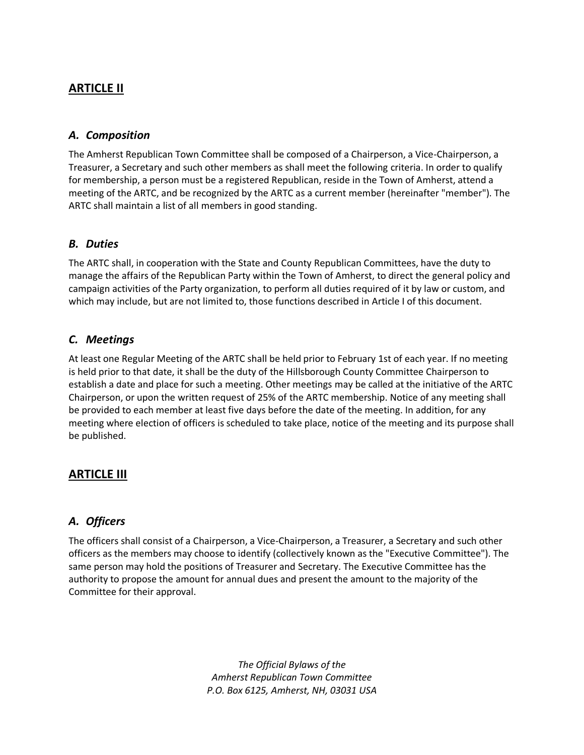# **ARTICLE II**

### *A. Composition*

The Amherst Republican Town Committee shall be composed of a Chairperson, a Vice-Chairperson, a Treasurer, a Secretary and such other members as shall meet the following criteria. In order to qualify for membership, a person must be a registered Republican, reside in the Town of Amherst, attend a meeting of the ARTC, and be recognized by the ARTC as a current member (hereinafter "member"). The ARTC shall maintain a list of all members in good standing.

# *B. Duties*

The ARTC shall, in cooperation with the State and County Republican Committees, have the duty to manage the affairs of the Republican Party within the Town of Amherst, to direct the general policy and campaign activities of the Party organization, to perform all duties required of it by law or custom, and which may include, but are not limited to, those functions described in Article I of this document.

# *C. Meetings*

At least one Regular Meeting of the ARTC shall be held prior to February 1st of each year. If no meeting is held prior to that date, it shall be the duty of the Hillsborough County Committee Chairperson to establish a date and place for such a meeting. Other meetings may be called at the initiative of the ARTC Chairperson, or upon the written request of 25% of the ARTC membership. Notice of any meeting shall be provided to each member at least five days before the date of the meeting. In addition, for any meeting where election of officers is scheduled to take place, notice of the meeting and its purpose shall be published.

# **ARTICLE III**

# *A. Officers*

The officers shall consist of a Chairperson, a Vice-Chairperson, a Treasurer, a Secretary and such other officers as the members may choose to identify (collectively known as the "Executive Committee"). The same person may hold the positions of Treasurer and Secretary. The Executive Committee has the authority to propose the amount for annual dues and present the amount to the majority of the Committee for their approval.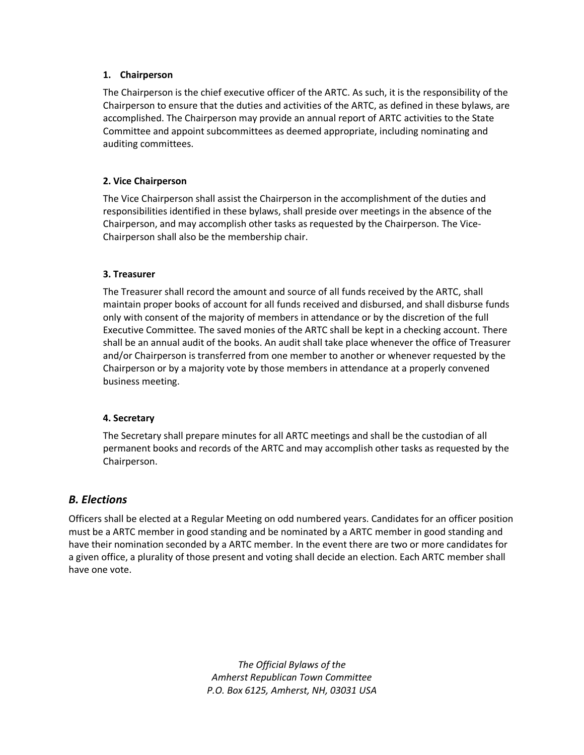#### **1. Chairperson**

The Chairperson is the chief executive officer of the ARTC. As such, it is the responsibility of the Chairperson to ensure that the duties and activities of the ARTC, as defined in these bylaws, are accomplished. The Chairperson may provide an annual report of ARTC activities to the State Committee and appoint subcommittees as deemed appropriate, including nominating and auditing committees.

### **2. Vice Chairperson**

The Vice Chairperson shall assist the Chairperson in the accomplishment of the duties and responsibilities identified in these bylaws, shall preside over meetings in the absence of the Chairperson, and may accomplish other tasks as requested by the Chairperson. The Vice-Chairperson shall also be the membership chair.

#### **3. Treasurer**

The Treasurer shall record the amount and source of all funds received by the ARTC, shall maintain proper books of account for all funds received and disbursed, and shall disburse funds only with consent of the majority of members in attendance or by the discretion of the full Executive Committee. The saved monies of the ARTC shall be kept in a checking account. There shall be an annual audit of the books. An audit shall take place whenever the office of Treasurer and/or Chairperson is transferred from one member to another or whenever requested by the Chairperson or by a majority vote by those members in attendance at a properly convened business meeting.

#### **4. Secretary**

The Secretary shall prepare minutes for all ARTC meetings and shall be the custodian of all permanent books and records of the ARTC and may accomplish other tasks as requested by the Chairperson.

# *B. Elections*

Officers shall be elected at a Regular Meeting on odd numbered years. Candidates for an officer position must be a ARTC member in good standing and be nominated by a ARTC member in good standing and have their nomination seconded by a ARTC member. In the event there are two or more candidates for a given office, a plurality of those present and voting shall decide an election. Each ARTC member shall have one vote.